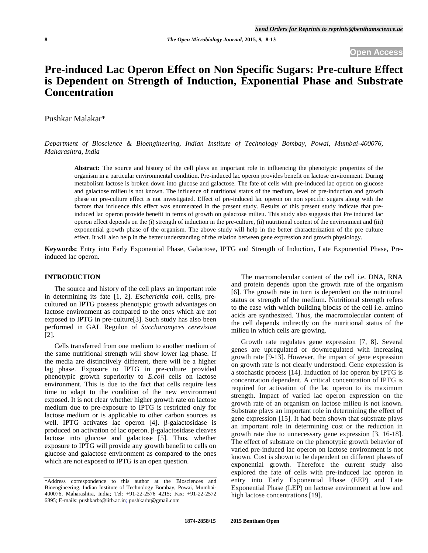# **Pre-induced Lac Operon Effect on Non Specific Sugars: Pre-culture Effect is Dependent on Strength of Induction, Exponential Phase and Substrate Concentration**

Pushkar Malakar\*

*Department of Bioscience & Bioengineering, Indian Institute of Technology Bombay, Powai, Mumbai-400076, Maharashtra, India* 

**Abstract:** The source and history of the cell plays an important role in influencing the phenotypic properties of the organism in a particular environmental condition. Pre-induced lac operon provides benefit on lactose environment. During metabolism lactose is broken down into glucose and galactose. The fate of cells with pre-induced lac operon on glucose and galactose milieu is not known. The influence of nutritional status of the medium, level of pre-induction and growth phase on pre-culture effect is not investigated. Effect of pre-induced lac operon on non specific sugars along with the factors that influence this effect was enumerated in the present study. Results of this present study indicate that preinduced lac operon provide benefit in terms of growth on galactose milieu. This study also suggests that Pre induced lac operon effect depends on the (i) strength of induction in the pre-culture, (ii) nutritional content of the environment and (iii) exponential growth phase of the organism. The above study will help in the better characterization of the pre culture effect. It will also help in the better understanding of the relation between gene expression and growth physiology.

**Keywords:** Entry into Early Exponential Phase, Galactose, IPTG and Strength of Induction, Late Exponential Phase, Preinduced lac operon.

### **INTRODUCTION**

 The source and history of the cell plays an important role in determining its fate [1, 2]. *Escherichia coli*, cells, precultured on IPTG possess phenotypic growth advantages on lactose environment as compared to the ones which are not exposed to IPTG in pre-culture[3]. Such study has also been performed in GAL Regulon of *Saccharomyces cerevisiae* [2].

 Cells transferred from one medium to another medium of the same nutritional strength will show lower lag phase. If the media are distinctively different, there will be a higher lag phase. Exposure to IPTG in pre-culture provided phenotypic growth superiority to *E.coli* cells on lactose environment. This is due to the fact that cells require less time to adapt to the condition of the new environment exposed. It is not clear whether higher growth rate on lactose medium due to pre-exposure to IPTG is restricted only for lactose medium or is applicable to other carbon sources as well. IPTG activates lac operon [4]. β-galactosidase is produced on activation of lac operon. β-galactosidase cleaves lactose into glucose and galactose [5]. Thus, whether exposure to IPTG will provide any growth benefit to cells on glucose and galactose environment as compared to the ones which are not exposed to IPTG is an open question.

 The macromolecular content of the cell i.e. DNA, RNA and protein depends upon the growth rate of the organism [6]. The growth rate in turn is dependent on the nutritional status or strength of the medium. Nutritional strength refers to the ease with which building blocks of the cell i.e. amino acids are synthesized. Thus, the macromolecular content of the cell depends indirectly on the nutritional status of the milieu in which cells are growing.

 Growth rate regulates gene expression [7, 8]. Several genes are upregulated or downregulated with increasing growth rate [9-13]. However, the impact of gene expression on growth rate is not clearly understood. Gene expression is a stochastic process [14]. Induction of lac operon by IPTG is concentration dependent. A critical concentration of IPTG is required for activation of the lac operon to its maximum strength. Impact of varied lac operon expression on the growth rate of an organism on lactose milieu is not known. Substrate plays an important role in determining the effect of gene expression [15]. It had been shown that substrate plays an important role in determining cost or the reduction in growth rate due to unnecessary gene expression [3, 16-18]. The effect of substrate on the phenotypic growth behavior of varied pre-induced lac operon on lactose environment is not known. Cost is shown to be dependent on different phases of exponential growth. Therefore the current study also explored the fate of cells with pre-induced lac operon in entry into Early Exponential Phase (EEP) and Late Exponential Phase (LEP) on lactose environment at low and high lactose concentrations [19].

<sup>\*</sup>Address correspondence to this author at the Biosciences and Bioengineering, Indian Institute of Technology Bombay, Powai, Mumbai-400076, Maharashtra, India; Tel: +91-22-2576 4215; Fax: +91-22-2572 6895; E-mails: pushkarbt@iitb.ac.in; pushkarbt@gmail.com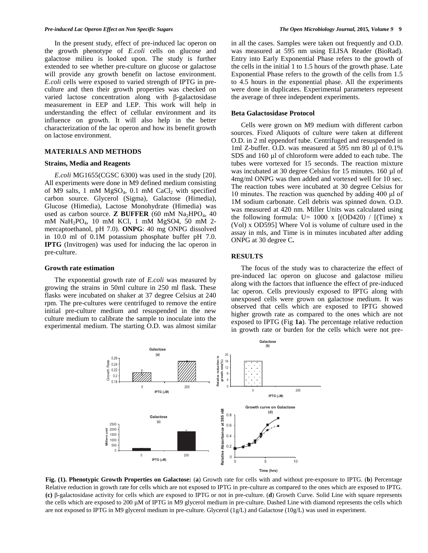In the present study, effect of pre-induced lac operon on the growth phenotype of *E.coli* cells on glucose and galactose milieu is looked upon. The study is further extended to see whether pre-culture on glucose or galactose will provide any growth benefit on lactose environment. *E.coli* cells were exposed to varied strength of IPTG in preculture and then their growth properties was checked on varied lactose concentration along with β-galactosidase measurement in EEP and LEP. This work will help in understanding the effect of cellular environment and its influence on growth. It will also help in the better characterization of the lac operon and how its benefit growth on lactose environment.

## **MATERIALS AND METHODS**

#### **Strains, Media and Reagents**

 *E.coli* MG1655(CGSC 6300) was used in the study [20]. All experiments were done in M9 defined medium consisting of M9 salts, 1 mM  $MgSO<sub>4</sub>$ , 0.1 mM  $CaCl<sub>2</sub>$  with specified carbon source. Glycerol (Sigma), Galactose (Himedia), Glucose (Himedia), Lactose Monohydrate (Himedia) was used as carbon source. **Z BUFFER** (60 mM  $Na<sub>2</sub>HPO<sub>4</sub>$ , 40 mM NaH<sub>2</sub>PO<sub>4</sub>, 10 mM KCl, 1 mM MgSO4, 50 mM 2mercaptoethanol, pH 7.0). **ONPG**: 40 mg ONPG dissolved in 10.0 ml of 0.1M potassium phosphate buffer pH 7.0. **IPTG** (Invitrogen) was used for inducing the lac operon in pre-culture.

### **Growth rate estimation**

 The exponential growth rate of *E.coli* was measured by growing the strains in 50ml culture in 250 ml flask. These flasks were incubated on shaker at 37 degree Celsius at 240 rpm. The pre-cultures were centrifuged to remove the entire initial pre-culture medium and resuspended in the new culture medium to calibrate the sample to inoculate into the experimental medium. The starting O.D. was almost similar in all the cases. Samples were taken out frequently and O.D. was measured at 595 nm using ELISA Reader (BioRad). Entry into Early Exponential Phase refers to the growth of the cells in the initial 1 to 1.5 hours of the growth phase. Late Exponential Phase refers to the growth of the cells from 1.5 to 4.5 hours in the exponential phase. All the experiments were done in duplicates. Experimental parameters represent the average of three independent experiments.

#### **Beta Galactosidase Protocol**

 Cells were grown on M9 medium with different carbon sources. Fixed Aliquots of culture were taken at different O.D. in 2 ml eppendorf tube. Centrifuged and resuspended in 1ml Z-buffer. O.D. was measured at 595 nm 80 µl of 0.1% SDS and 160 µl of chloroform were added to each tube. The tubes were vortexed for 15 seconds. The reaction mixture was incubated at 30 degree Celsius for 15 minutes. 160 ul of 4mg/ml ONPG was then added and vortexed well for 10 sec. The reaction tubes were incubated at 30 degree Celsius for 10 minutes. The reaction was quenched by adding 400 μl of 1M sodium carbonate. Cell debris was spinned down. O.D. was measured at 420 nm. Miller Units was calculated using the following formula:  $U= 1000 \text{ x } [(OD420) / [(Time) \text{ x}]$ (Vol) x OD595] Where Vol is volume of culture used in the assay in mls, and Time is in minutes incubated after adding ONPG at 30 degree C**.** 

#### **RESULTS**

 The focus of the study was to characterize the effect of pre-induced lac operon on glucose and galactose milieu along with the factors that influence the effect of pre-induced lac operon. Cells previously exposed to IPTG along with unexposed cells were grown on galactose medium. It was observed that cells which are exposed to IPTG showed higher growth rate as compared to the ones which are not exposed to IPTG (Fig **1a**). The percentage relative reduction in growth rate or burden for the cells which were not pre-



**Fig. (1). Phenotypic Growth Properties on Galactose:** (**a**) Growth rate for cells with and without pre-exposure to IPTG. (**b**) Percentage Relative reduction in growth rate for cells which are not exposed to IPTG in pre-culture as compared to the ones which are exposed to IPTG. **(c)** β-galactosidase activity for cells which are exposed to IPTG or not in pre-culture. (**d**) Growth Curve. Solid Line with square represents the cells which are exposed to 200 µM of IPTG in M9 glycerol medium in pre-culture. Dashed Line with diamond represents the cells which are not exposed to IPTG in M9 glycerol medium in pre-culture. Glycerol (1g/L) and Galactose (10g/L) was used in experiment.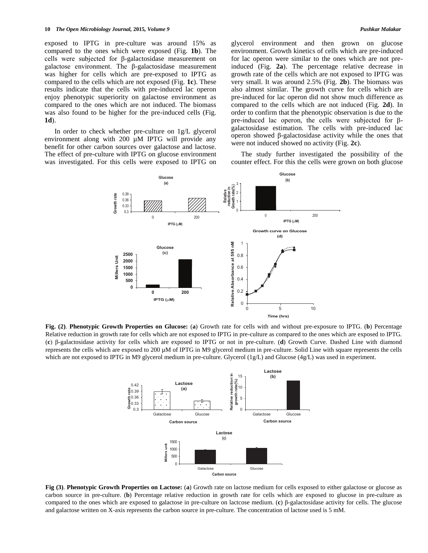exposed to IPTG in pre-culture was around 15% as compared to the ones which were exposed (Fig. **1b**). The cells were subjected for β-galactosidase measurement on galactose environment. The β-galactosidase measurement was higher for cells which are pre-exposed to IPTG as compared to the cells which are not exposed (Fig. **1c**). These results indicate that the cells with pre-induced lac operon enjoy phenotypic superiority on galactose environment as compared to the ones which are not induced. The biomass was also found to be higher for the pre-induced cells (Fig. **1d**).

 In order to check whether pre-culture on 1g/L glycerol environment along with 200  $\mu$ M IPTG will provide any benefit for other carbon sources over galactose and lactose. The effect of pre-culture with IPTG on glucose environment was investigated. For this cells were exposed to IPTG on glycerol environment and then grown on glucose environment. Growth kinetics of cells which are pre-induced for lac operon were similar to the ones which are not preinduced (Fig. **2a**). The percentage relative decrease in growth rate of the cells which are not exposed to IPTG was very small. It was around 2.5% (Fig. **2b**). The biomass was also almost similar. The growth curve for cells which are pre-induced for lac operon did not show much difference as compared to the cells which are not induced (Fig. **2d**). In order to confirm that the phenotypic observation is due to the pre-induced lac operon, the cells were subjected for βgalactosidase estimation. The cells with pre-induced lac operon showed β-galactosidase activity while the ones that were not induced showed no activity (Fig. **2c**).

 The study further investigated the possibility of the counter effect. For this the cells were grown on both glucose



**Fig. (2)**. **Phenotypic Growth Properties on Glucose:** (**a**) Growth rate for cells with and without pre-exposure to IPTG. (**b**) Percentage Relative reduction in growth rate for cells which are not exposed to IPTG in pre-culture as compared to the ones which are exposed to IPTG. (**c**) β-galactosidase activity for cells which are exposed to IPTG or not in pre-culture. (**d**) Growth Curve. Dashed Line with diamond represents the cells which are exposed to 200 µM of IPTG in M9 glycerol medium in pre-culture. Solid Line with square represents the cells which are not exposed to IPTG in M9 glycerol medium in pre-culture. Glycerol (1g/L) and Glucose (4g/L) was used in experiment.



**Fig (3)**. **Phenotypic Growth Properties on Lactose:** (**a**) Growth rate on lactose medium for cells exposed to either galactose or glucose as carbon source in pre-culture. (**b**) Percentage relative reduction in growth rate for cells which are exposed to glucose in pre-culture as compared to the ones which are exposed to galactose in pre-culture on lactcose medium. (**c**) β-galactosidase activity for cells. The glucose and galactose written on X-axis represents the carbon source in pre-culture. The concentration of lactose used is 5 mM.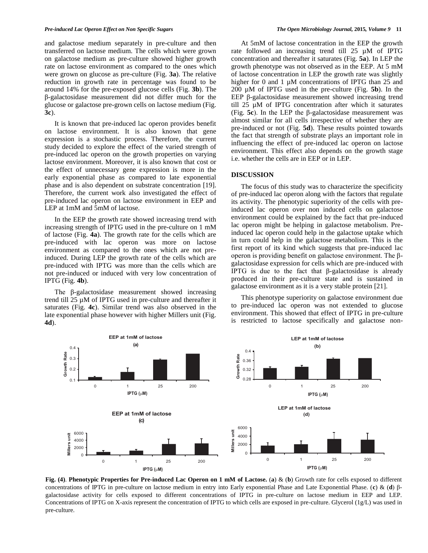and galactose medium separately in pre-culture and then transferred on lactose medium. The cells which were grown on galactose medium as pre-culture showed higher growth rate on lactose environment as compared to the ones which were grown on glucose as pre-culture (Fig. **3a**). The relative reduction in growth rate in percentage was found to be around 14% for the pre-exposed glucose cells (Fig. **3b**). The β-galactosidase measurement did not differ much for the glucose or galactose pre-grown cells on lactose medium (Fig. **3c**).

 It is known that pre-induced lac operon provides benefit on lactose environment. It is also known that gene expression is a stochastic process. Therefore, the current study decided to explore the effect of the varied strength of pre-induced lac operon on the growth properties on varying lactose environment. Moreover, it is also known that cost or the effect of unnecessary gene expression is more in the early exponential phase as compared to late exponential phase and is also dependent on substrate concentration [19]. Therefore, the current work also investigated the effect of pre-induced lac operon on lactose environment in EEP and LEP at 1mM and 5mM of lactose.

 In the EEP the growth rate showed increasing trend with increasing strength of IPTG used in the pre-culture on 1 mM of lactose (Fig. **4a**). The growth rate for the cells which are pre-induced with lac operon was more on lactose environment as compared to the ones which are not preinduced. During LEP the growth rate of the cells which are pre-induced with IPTG was more than the cells which are not pre-induced or induced with very low concentration of IPTG (Fig. **4b**).

The β-galactosidase measurement showed increasing trend till 25 µM of IPTG used in pre-culture and thereafter it saturates (Fig. **4c**). Similar trend was also observed in the late exponential phase however with higher Millers unit (Fig. **4d**).

 At 5mM of lactose concentration in the EEP the growth rate followed an increasing trend till 25 µM of IPTG concentration and thereafter it saturates (Fig. **5a**). In LEP the growth phenotype was not observed as in the EEP. At 5 mM of lactose concentration in LEP the growth rate was slightly higher for 0 and 1  $\mu$ M concentrations of IPTG than 25 and 200 µM of IPTG used in the pre-culture (Fig. **5b**). In the EEP β-galactosidase measurement showed increasing trend till 25 µM of IPTG concentration after which it saturates (Fig. **5c**). In the LEP the β-galactosidase measurement was almost similar for all cells irrespective of whether they are pre-induced or not (Fig. **5d**). These results pointed towards the fact that strength of substrate plays an important role in influencing the effect of pre-induced lac operon on lactose environment. This effect also depends on the growth stage i.e. whether the cells are in EEP or in LEP.

# **DISCUSSION**

 The focus of this study was to characterize the specificity of pre-induced lac operon along with the factors that regulate its activity. The phenotypic superiority of the cells with preinduced lac operon over non induced cells on galactose environment could be explained by the fact that pre-induced lac operon might be helping in galactose metabolism. Preinduced lac operon could help in the galactose uptake which in turn could help in the galactose metabolism. This is the first report of its kind which suggests that pre-induced lac operon is providing benefit on galactose environment. The βgalactosidase expression for cells which are pre-induced with IPTG is due to the fact that β-galactosidase is already produced in their pre-culture state and is sustained in galactose environment as it is a very stable protein [21].

 This phenotype superiority on galactose environment due to pre-induced lac operon was not extended to glucose environment. This showed that effect of IPTG in pre-culture is restricted to lactose specifically and galactose non-



**Fig. (4)**. **Phenotypic Properties for Pre-induced Lac Operon on 1 mM of Lactose.** (**a**) & (**b**) Growth rate for cells exposed to different concentrations of IPTG in pre-culture on lactose medium in entry into Early exponential Phase and Late Exponential Phase. (**c**) & (**d**) βgalactosidase activity for cells exposed to different concentrations of IPTG in pre-culture on lactose medium in EEP and LEP. Concentrations of IPTG on X-axis represent the concentration of IPTG to which cells are exposed in pre-culture. Glycerol (1g/L) was used in pre-culture.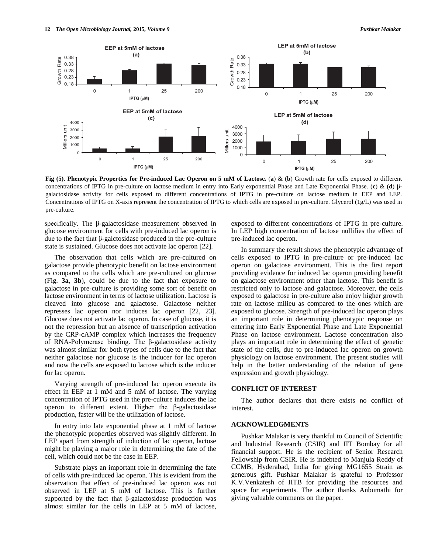

**Fig (5)**. **Phenotypic Properties for Pre-induced Lac Operon on 5 mM of Lactose.** (**a**) & (**b**) Growth rate for cells exposed to different concentrations of IPTG in pre-culture on lactose medium in entry into Early exponential Phase and Late Exponential Phase. (**c**) & (**d**) βgalactosidase activity for cells exposed to different concentrations of IPTG in pre-culture on lactose medium in EEP and LEP. Concentrations of IPTG on X-axis represent the concentration of IPTG to which cells are exposed in pre-culture. Glycerol (1g/L) was used in pre-culture.

specifically. The β-galactosidase measurement observed in glucose environment for cells with pre-induced lac operon is due to the fact that β-galctosidase produced in the pre-culture state is sustained. Glucose does not activate lac operon [22].

 The observation that cells which are pre-cultured on galactose provide phenotypic benefit on lactose environment as compared to the cells which are pre-cultured on glucose (Fig. **3a**, **3b**), could be due to the fact that exposure to galactose in pre-culture is providing some sort of benefit on lactose environment in terms of lactose utilization. Lactose is cleaved into glucose and galactose. Galactose neither represses lac operon nor induces lac operon [22, 23]. Glucose does not activate lac operon. In case of glucose, it is not the repression but an absence of transcription activation by the CRP-cAMP complex which increases the frequency of RNA-Polymerase binding. The β-galactosidase activity was almost similar for both types of cells due to the fact that neither galactose nor glucose is the inducer for lac operon and now the cells are exposed to lactose which is the inducer for lac operon.

 Varying strength of pre-induced lac operon execute its effect in EEP at 1 mM and 5 mM of lactose. The varying concentration of IPTG used in the pre-culture induces the lac operon to different extent. Higher the β-galactosidase production, faster will be the utilization of lactose.

 In entry into late exponential phase at 1 mM of lactose the phenotypic properties observed was slightly different. In LEP apart from strength of induction of lac operon, lactose might be playing a major role in determining the fate of the cell, which could not be the case in EEP.

 Substrate plays an important role in determining the fate of cells with pre-induced lac operon. This is evident from the observation that effect of pre-induced lac operon was not observed in LEP at 5 mM of lactose. This is further supported by the fact that β-galactosidase production was almost similar for the cells in LEP at 5 mM of lactose,

exposed to different concentrations of IPTG in pre-culture. In LEP high concentration of lactose nullifies the effect of pre-induced lac operon.

 In summary the result shows the phenotypic advantage of cells exposed to IPTG in pre-culture or pre-induced lac operon on galactose environment. This is the first report providing evidence for induced lac operon providing benefit on galactose environment other than lactose. This benefit is restricted only to lactose and galactose. Moreover, the cells exposed to galactose in pre-culture also enjoy higher growth rate on lactose milieu as compared to the ones which are exposed to glucose. Strength of pre-induced lac operon plays an important role in determining phenotypic response on entering into Early Exponential Phase and Late Exponential Phase on lactose environment. Lactose concentration also plays an important role in determining the effect of genetic state of the cells, due to pre-induced lac operon on growth physiology on lactose environment. The present studies will help in the better understanding of the relation of gene expression and growth physiology.

## **CONFLICT OF INTEREST**

 The author declares that there exists no conflict of interest.

## **ACKNOWLEDGMENTS**

 Pushkar Malakar is very thankful to Council of Scientific and Industrial Research (CSIR) and IIT Bombay for all financial support. He is the recipient of Senior Research Fellowship from CSIR. He is indebted to Manjula Reddy of CCMB, Hyderabad, India for giving MG1655 Strain as generous gift. Pushkar Malakar is grateful to Professor K.V.Venkatesh of IITB for providing the resources and space for experiments. The author thanks Anbumathi for giving valuable comments on the paper.